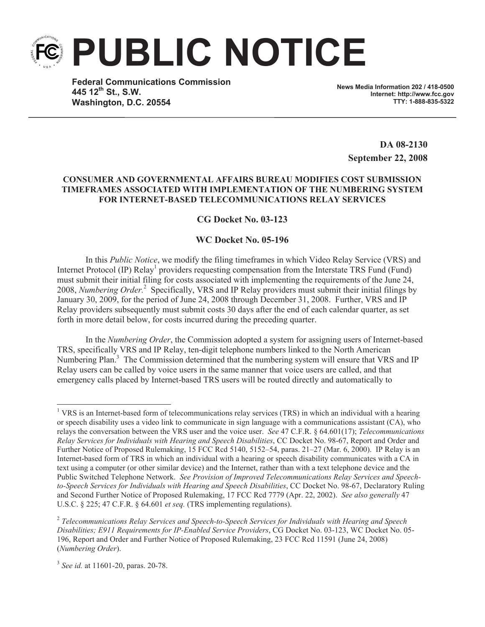**PUBLIC NOTICE**

**Federal Communications Commission 445 12th St., S.W. Washington, D.C. 20554**

**News Media Information 202 / 418-0500 Internet: http://www.fcc.gov TTY: 1-888-835-5322**

**DA 08-2130 September 22, 2008**

## **CONSUMER AND GOVERNMENTAL AFFAIRS BUREAU MODIFIES COST SUBMISSION TIMEFRAMES ASSOCIATED WITH IMPLEMENTATION OF THE NUMBERING SYSTEM FOR INTERNET-BASED TELECOMMUNICATIONS RELAY SERVICES**

## **CG Docket No. 03-123**

## **WC Docket No. 05-196**

In this *Public Notice*, we modify the filing timeframes in which Video Relay Service (VRS) and Internet Protocol (IP) Relay<sup>1</sup> providers requesting compensation from the Interstate TRS Fund (Fund) must submit their initial filing for costs associated with implementing the requirements of the June 24, 2008, *Numbering Order.*<sup>2</sup> Specifically, VRS and IP Relay providers must submit their initial filings by January 30, 2009, for the period of June 24, 2008 through December 31, 2008. Further, VRS and IP Relay providers subsequently must submit costs 30 days after the end of each calendar quarter, as set forth in more detail below, for costs incurred during the preceding quarter.

In the *Numbering Order*, the Commission adopted a system for assigning users of Internet-based TRS, specifically VRS and IP Relay, ten-digit telephone numbers linked to the North American Numbering Plan.<sup>3</sup> The Commission determined that the numbering system will ensure that VRS and IP Relay users can be called by voice users in the same manner that voice users are called, and that emergency calls placed by Internet-based TRS users will be routed directly and automatically to

<sup>&</sup>lt;sup>1</sup> VRS is an Internet-based form of telecommunications relay services (TRS) in which an individual with a hearing or speech disability uses a video link to communicate in sign language with a communications assistant (CA), who relays the conversation between the VRS user and the voice user. *See* 47 C.F.R. § 64.601(17); *Telecommunications Relay Services for Individuals with Hearing and Speech Disabilities*, CC Docket No. 98-67, Report and Order and Further Notice of Proposed Rulemakin*g*, 15 FCC Rcd 5140, 5152–54, paras. 21–27 (Mar. 6, 2000). IP Relay is an Internet-based form of TRS in which an individual with a hearing or speech disability communicates with a CA in text using a computer (or other similar device) and the Internet, rather than with a text telephone device and the Public Switched Telephone Network. *See Provision of Improved Telecommunications Relay Services and Speechto-Speech Services for Individuals with Hearing and Speech Disabilities*, CC Docket No. 98-67, Declaratory Ruling and Second Further Notice of Proposed Rulemaking, 17 FCC Rcd 7779 (Apr. 22, 2002). *See also generally* 47 U.S.C. § 225; 47 C.F.R. § 64.601 *et seq.* (TRS implementing regulations).

<sup>2</sup> *Telecommunications Relay Services and Speech-to-Speech Services for Individuals with Hearing and Speech Disabilities; E911 Requirements for IP-Enabled Service Providers*, CG Docket No. 03-123, WC Docket No. 05- 196, Report and Order and Further Notice of Proposed Rulemaking, 23 FCC Rcd 11591 (June 24, 2008) (*Numbering Order*).

<sup>3</sup> *See id.* at 11601-20, paras. 20-78.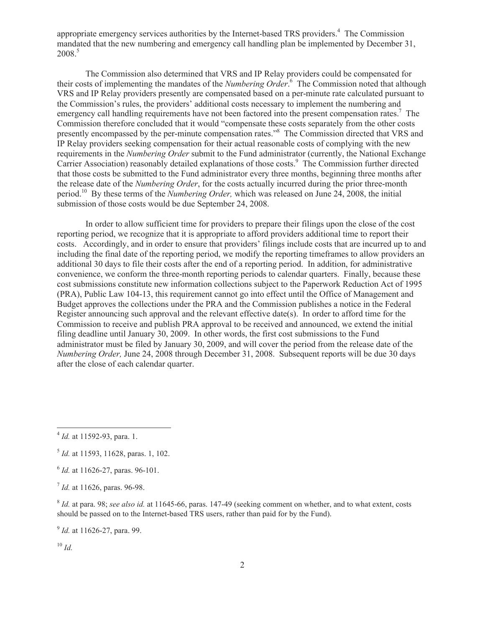appropriate emergency services authorities by the Internet-based TRS providers.<sup>4</sup> The Commission mandated that the new numbering and emergency call handling plan be implemented by December 31, 2008<sup>5</sup>

The Commission also determined that VRS and IP Relay providers could be compensated for their costs of implementing the mandates of the *Numbering Order*. <sup>6</sup> The Commission noted that although VRS and IP Relay providers presently are compensated based on a per-minute rate calculated pursuant to the Commission's rules, the providers' additional costs necessary to implement the numbering and emergency call handling requirements have not been factored into the present compensation rates.<sup>7</sup> The Commission therefore concluded that it would "compensate these costs separately from the other costs presently encompassed by the per-minute compensation rates."<sup>8</sup> The Commission directed that VRS and IP Relay providers seeking compensation for their actual reasonable costs of complying with the new requirements in the *Numbering Order* submit to the Fund administrator (currently, the National Exchange Carrier Association) reasonably detailed explanations of those costs.<sup>9</sup> The Commission further directed that those costs be submitted to the Fund administrator every three months, beginning three months after the release date of the *Numbering Order*, for the costs actually incurred during the prior three-month period.<sup>10</sup> By these terms of the *Numbering Order,* which was released on June 24, 2008, the initial submission of those costs would be due September 24, 2008.

In order to allow sufficient time for providers to prepare their filings upon the close of the cost reporting period, we recognize that it is appropriate to afford providers additional time to report their costs. Accordingly, and in order to ensure that providers' filings include costs that are incurred up to and including the final date of the reporting period, we modify the reporting timeframes to allow providers an additional 30 days to file their costs after the end of a reporting period. In addition, for administrative convenience, we conform the three-month reporting periods to calendar quarters. Finally, because these cost submissions constitute new information collections subject to the Paperwork Reduction Act of 1995 (PRA), Public Law 104-13, this requirement cannot go into effect until the Office of Management and Budget approves the collections under the PRA and the Commission publishes a notice in the Federal Register announcing such approval and the relevant effective date(s). In order to afford time for the Commission to receive and publish PRA approval to be received and announced, we extend the initial filing deadline until January 30, 2009. In other words, the first cost submissions to the Fund administrator must be filed by January 30, 2009, and will cover the period from the release date of the *Numbering Order,* June 24, 2008 through December 31, 2008. Subsequent reports will be due 30 days after the close of each calendar quarter.

 $10 \; Id.$ 

<sup>4</sup> *Id.* at 11592-93, para. 1.

<sup>5</sup> *Id.* at 11593, 11628, paras. 1, 102.

<sup>6</sup> *Id.* at 11626-27, paras. 96-101.

<sup>7</sup> *Id.* at 11626, paras. 96-98.

<sup>8</sup> *Id.* at para. 98; *see also id.* at 11645-66, paras. 147-49 (seeking comment on whether, and to what extent, costs should be passed on to the Internet-based TRS users, rather than paid for by the Fund).

<sup>&</sup>lt;sup>9</sup> *Id.* at 11626-27, para. 99.